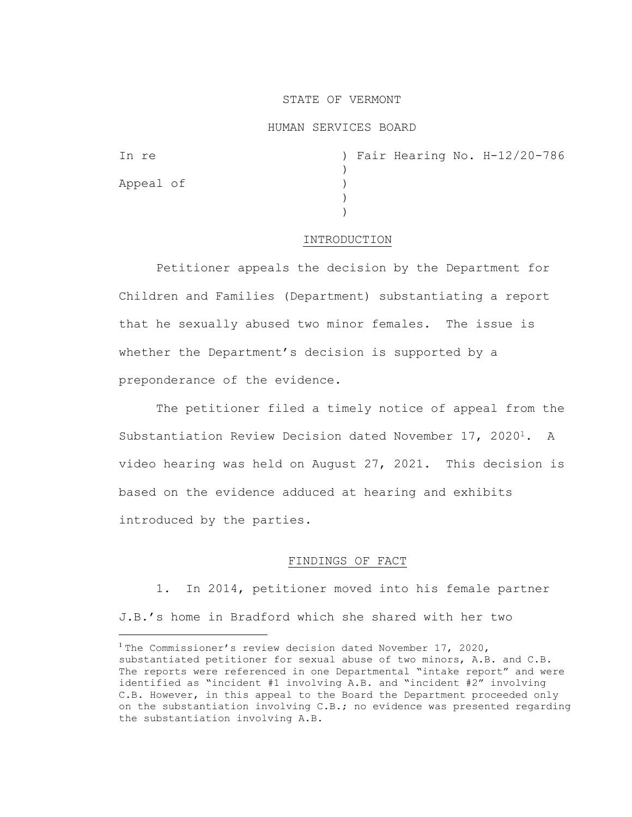#### STATE OF VERMONT

#### HUMAN SERVICES BOARD

| In re     |  |  | ) Fair Hearing No. H-12/20-786 |
|-----------|--|--|--------------------------------|
|           |  |  |                                |
| Appeal of |  |  |                                |
|           |  |  |                                |
|           |  |  |                                |

#### INTRODUCTION

Petitioner appeals the decision by the Department for Children and Families (Department) substantiating a report that he sexually abused two minor females. The issue is whether the Department's decision is supported by a preponderance of the evidence.

The petitioner filed a timely notice of appeal from the Substantiation Review Decision dated November 17, 20201. A video hearing was held on August 27, 2021. This decision is based on the evidence adduced at hearing and exhibits introduced by the parties.

#### FINDINGS OF FACT

1. In 2014, petitioner moved into his female partner J.B.'s home in Bradford which she shared with her two

<sup>&</sup>lt;sup>1</sup> The Commissioner's review decision dated November 17, 2020, substantiated petitioner for sexual abuse of two minors, A.B. and C.B. The reports were referenced in one Departmental "intake report" and were identified as "incident #1 involving A.B. and "incident #2" involving C.B. However, in this appeal to the Board the Department proceeded only on the substantiation involving C.B.; no evidence was presented regarding the substantiation involving A.B.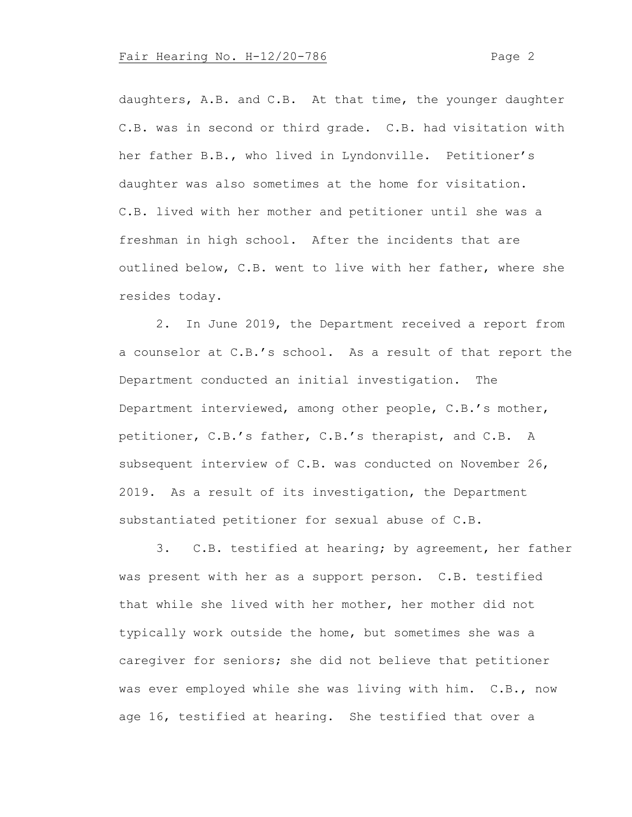daughters, A.B. and C.B. At that time, the younger daughter C.B. was in second or third grade. C.B. had visitation with her father B.B., who lived in Lyndonville. Petitioner's daughter was also sometimes at the home for visitation. C.B. lived with her mother and petitioner until she was a freshman in high school. After the incidents that are outlined below, C.B. went to live with her father, where she resides today.

2. In June 2019, the Department received a report from a counselor at C.B.'s school. As a result of that report the Department conducted an initial investigation. The Department interviewed, among other people, C.B.'s mother, petitioner, C.B.'s father, C.B.'s therapist, and C.B. A subsequent interview of C.B. was conducted on November 26, 2019. As a result of its investigation, the Department substantiated petitioner for sexual abuse of C.B.

3. C.B. testified at hearing; by agreement, her father was present with her as a support person. C.B. testified that while she lived with her mother, her mother did not typically work outside the home, but sometimes she was a caregiver for seniors; she did not believe that petitioner was ever employed while she was living with him. C.B., now age 16, testified at hearing. She testified that over a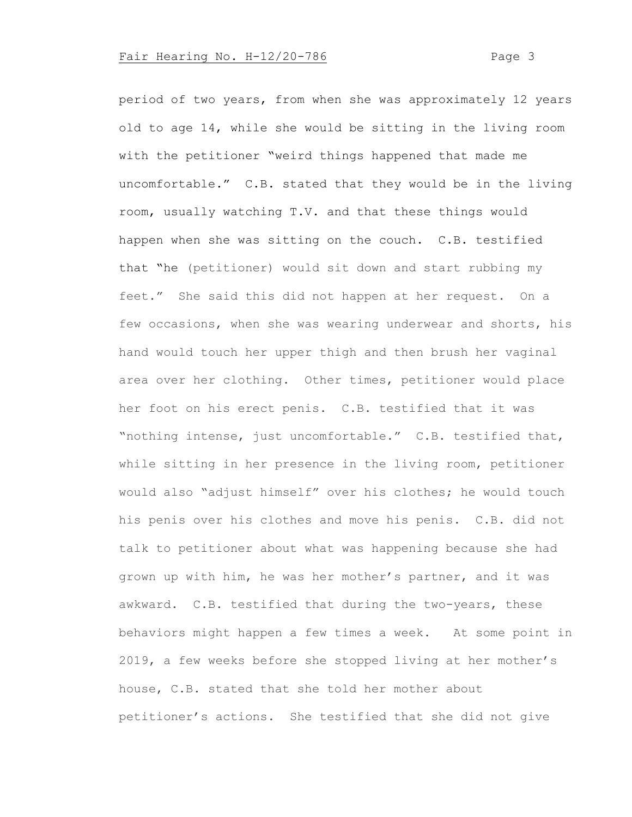period of two years, from when she was approximately 12 years old to age 14, while she would be sitting in the living room with the petitioner "weird things happened that made me uncomfortable." C.B. stated that they would be in the living room, usually watching T.V. and that these things would happen when she was sitting on the couch. C.B. testified that "he (petitioner) would sit down and start rubbing my feet." She said this did not happen at her request. On a few occasions, when she was wearing underwear and shorts, his hand would touch her upper thigh and then brush her vaginal area over her clothing. Other times, petitioner would place her foot on his erect penis. C.B. testified that it was "nothing intense, just uncomfortable." C.B. testified that, while sitting in her presence in the living room, petitioner would also "adjust himself" over his clothes; he would touch his penis over his clothes and move his penis. C.B. did not talk to petitioner about what was happening because she had grown up with him, he was her mother's partner, and it was awkward. C.B. testified that during the two-years, these behaviors might happen a few times a week. At some point in 2019, a few weeks before she stopped living at her mother's house, C.B. stated that she told her mother about petitioner's actions. She testified that she did not give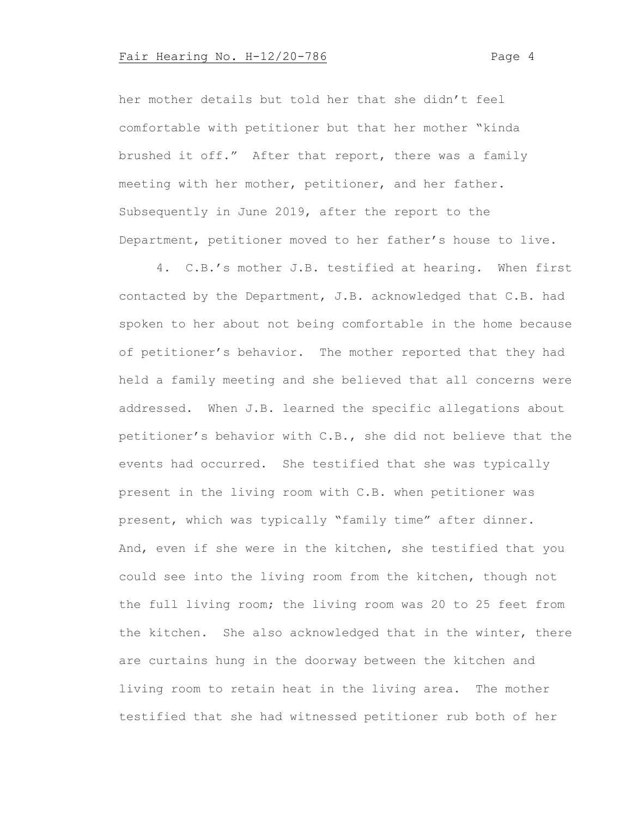her mother details but told her that she didn't feel comfortable with petitioner but that her mother "kinda brushed it off." After that report, there was a family meeting with her mother, petitioner, and her father. Subsequently in June 2019, after the report to the Department, petitioner moved to her father's house to live.

4. C.B.'s mother J.B. testified at hearing. When first contacted by the Department, J.B. acknowledged that C.B. had spoken to her about not being comfortable in the home because of petitioner's behavior. The mother reported that they had held a family meeting and she believed that all concerns were addressed. When J.B. learned the specific allegations about petitioner's behavior with C.B., she did not believe that the events had occurred. She testified that she was typically present in the living room with C.B. when petitioner was present, which was typically "family time" after dinner. And, even if she were in the kitchen, she testified that you could see into the living room from the kitchen, though not the full living room; the living room was 20 to 25 feet from the kitchen. She also acknowledged that in the winter, there are curtains hung in the doorway between the kitchen and living room to retain heat in the living area. The mother testified that she had witnessed petitioner rub both of her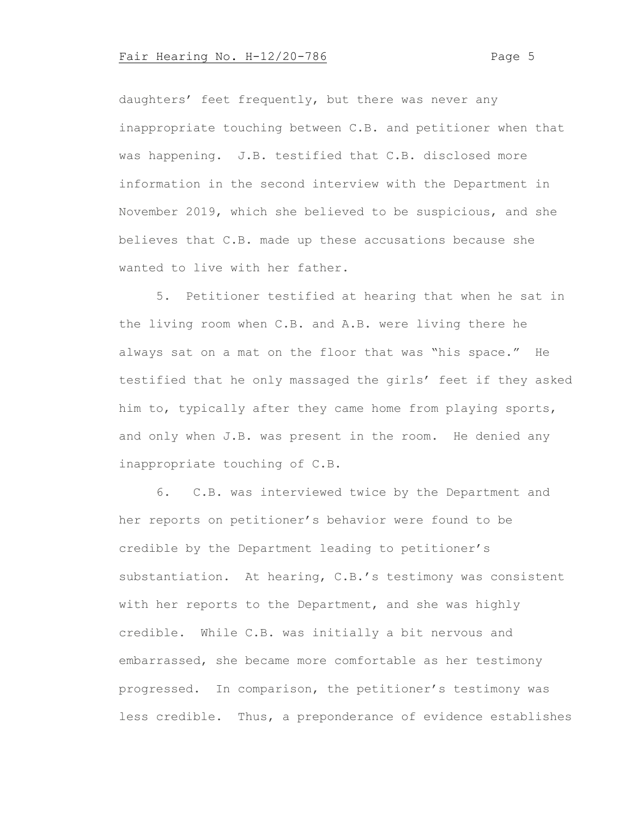daughters' feet frequently, but there was never any inappropriate touching between C.B. and petitioner when that was happening. J.B. testified that C.B. disclosed more information in the second interview with the Department in November 2019, which she believed to be suspicious, and she believes that C.B. made up these accusations because she wanted to live with her father.

5. Petitioner testified at hearing that when he sat in the living room when C.B. and A.B. were living there he always sat on a mat on the floor that was "his space." He testified that he only massaged the girls' feet if they asked him to, typically after they came home from playing sports, and only when J.B. was present in the room. He denied any inappropriate touching of C.B.

6. C.B. was interviewed twice by the Department and her reports on petitioner's behavior were found to be credible by the Department leading to petitioner's substantiation. At hearing, C.B.'s testimony was consistent with her reports to the Department, and she was highly credible. While C.B. was initially a bit nervous and embarrassed, she became more comfortable as her testimony progressed. In comparison, the petitioner's testimony was less credible. Thus, a preponderance of evidence establishes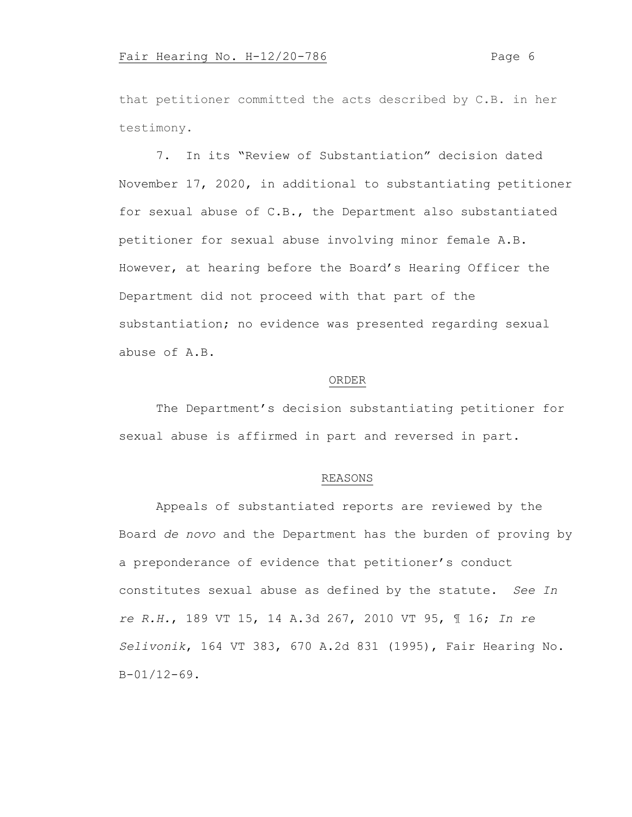that petitioner committed the acts described by C.B. in her testimony.

7. In its "Review of Substantiation" decision dated November 17, 2020, in additional to substantiating petitioner for sexual abuse of C.B., the Department also substantiated petitioner for sexual abuse involving minor female A.B. However, at hearing before the Board's Hearing Officer the Department did not proceed with that part of the substantiation; no evidence was presented regarding sexual abuse of A.B.

#### ORDER

The Department's decision substantiating petitioner for sexual abuse is affirmed in part and reversed in part.

#### REASONS

Appeals of substantiated reports are reviewed by the Board *de novo* and the Department has the burden of proving by a preponderance of evidence that petitioner's conduct constitutes sexual abuse as defined by the statute. *See In re R.H.*, 189 VT 15, 14 A.3d 267, 2010 VT 95, ¶ 16; *In re Selivonik*, 164 VT 383, 670 A.2d 831 (1995), Fair Hearing No. B-01/12-69.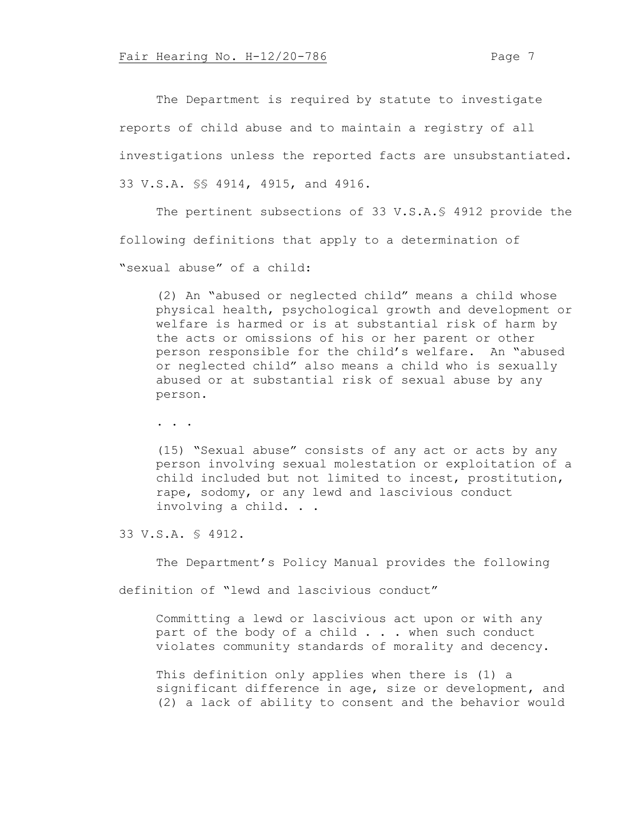The Department is required by statute to investigate reports of child abuse and to maintain a registry of all investigations unless the reported facts are unsubstantiated. 33 V.S.A. §§ 4914, 4915, and 4916.

The pertinent subsections of 33 V.S.A.§ 4912 provide the following definitions that apply to a determination of "sexual abuse" of a child:

(2) An "abused or neglected child" means a child whose physical health, psychological growth and development or welfare is harmed or is at substantial risk of harm by the acts or omissions of his or her parent or other person responsible for the child's welfare. An "abused or neglected child" also means a child who is sexually abused or at substantial risk of sexual abuse by any person.

. . .

(15) "Sexual abuse" consists of any act or acts by any person involving sexual molestation or exploitation of a child included but not limited to incest, prostitution, rape, sodomy, or any lewd and lascivious conduct involving a child. . .

33 V.S.A. § 4912.

The Department's Policy Manual provides the following

definition of "lewd and lascivious conduct"

Committing a lewd or lascivious act upon or with any part of the body of a child . . . when such conduct violates community standards of morality and decency.

This definition only applies when there is (1) a significant difference in age, size or development, and (2) a lack of ability to consent and the behavior would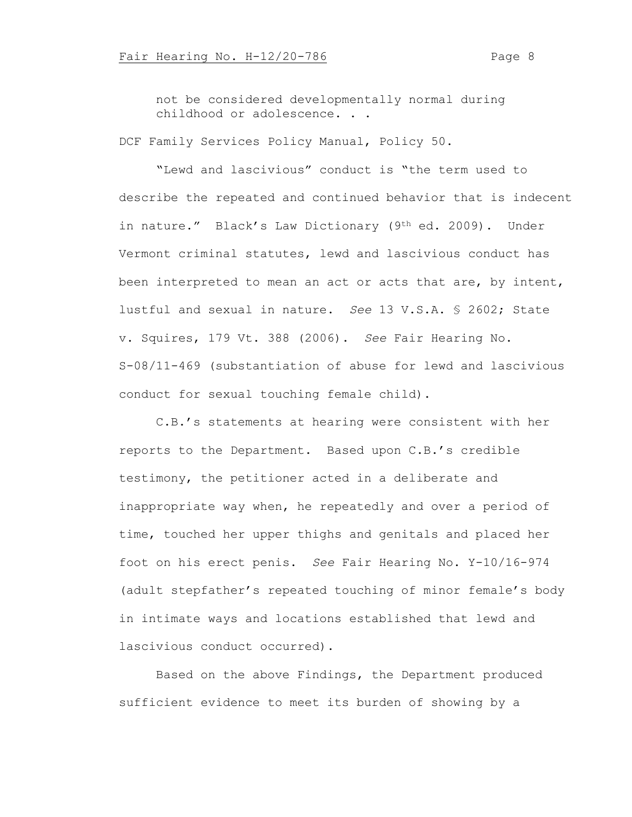not be considered developmentally normal during childhood or adolescence. . .

DCF Family Services Policy Manual, Policy 50.

"Lewd and lascivious" conduct is "the term used to describe the repeated and continued behavior that is indecent in nature." Black's Law Dictionary (9<sup>th</sup> ed. 2009). Under Vermont criminal statutes, lewd and lascivious conduct has been interpreted to mean an act or acts that are, by intent, lustful and sexual in nature. *See* 13 V.S.A. § 2602; State v. Squires, 179 Vt. 388 (2006). *See* Fair Hearing No. S-08/11-469 (substantiation of abuse for lewd and lascivious conduct for sexual touching female child).

C.B.'s statements at hearing were consistent with her reports to the Department. Based upon C.B.'s credible testimony, the petitioner acted in a deliberate and inappropriate way when, he repeatedly and over a period of time, touched her upper thighs and genitals and placed her foot on his erect penis. *See* Fair Hearing No. Y-10/16-974 (adult stepfather's repeated touching of minor female's body in intimate ways and locations established that lewd and lascivious conduct occurred).

Based on the above Findings, the Department produced sufficient evidence to meet its burden of showing by a